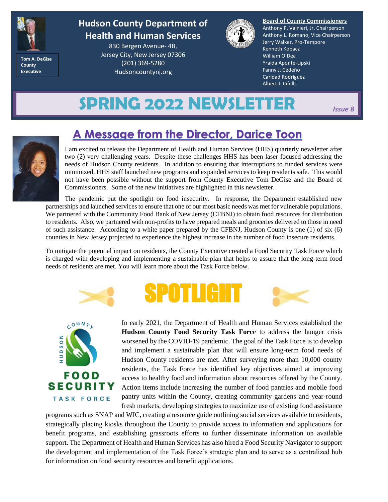

**Hudson County Department of Health and Human Services**

**Tom A. DeGise County Executive**

830 Bergen Avenue- 4B, Jersey City, New Jersey 07306 (201) 369-5280 Hudsoncountynj.org



**Board of County Commissioners** Anthony P. Vainieri, Jr. Chairperson Anthony L. Romano, Vice Chairperson Jerry Walker, Pro-Tempore Kenneth Kopacz William O'Dea Yraida Aponte-Lipski Fanny J. Cedeño Caridad Rodríguez Albert J. Cifelli

# **SPRING 2022 NEWSLETTER** *Issue 8*



I am excited to release the Department of Health and Human Services (HHS) quarterly newsletter after two (2) very challenging years. Despite these challenges HHS has been laser focused addressing the needs of Hudson County residents. In addition to ensuring that interruptions to funded services were minimized, HHS staff launched new programs and expanded services to keep residents safe. This would not have been possible without the support from County Executive Tom DeGise and the Board of Commissioners. Some of the new initiatives are highlighted in this newsletter.

The pandemic put the spotlight on food insecurity. In response, the Department established new partnerships and launched services to ensure that one of our most basic needs was met for vulnerable populations. We partnered with the Community Food Bank of New Jersey (CFBNJ) to obtain food resources for distribution to residents. Also, we partnered with non-profits to have prepared meals and groceries delivered to those in need of such assistance. According to a white paper prepared by the CFBNJ, Hudson County is one (1) of six (6) counties in New Jersey projected to experience the highest increase in the number of food insecure residents.

To mitigate the potential impact on residents, the County Executive created a Food Security Task Force which is charged with developing and implementing a sustainable plan that helps to assure that the long-term food needs of residents are met. You will learn more about the Task Force below.



SPOTLIGHT

In early 2021, the Department of Health and Human Services established the **Hudson County Food Security Task Force to address the hunger crisis** worsened by the COVID-19 pandemic. The goal of the Task Force is to develop and implement a sustainable plan that will ensure long-term food needs of Hudson County residents are met. After surveying more than 10,000 county residents, the Task Force has identified key objectives aimed at improving access to healthy food and information about resources offered by the County. Action items include increasing the number of food pantries and mobile food pantry units within the County, creating community gardens and year-round fresh markets, developing strategies to maximize use of existing food assistance

programs such as SNAP and WIC, creating a resource guide outlining social services available to residents, strategically placing kiosks throughout the County to provide access to information and applications for benefit programs, and establishing grassroots efforts to further disseminate information on available support. The Department of Health and Human Services has also hired a Food Security Navigator to support the development and implementation of the Task Force's strategic plan and to serve as a centralized hub for information on food security resources and benefit applications.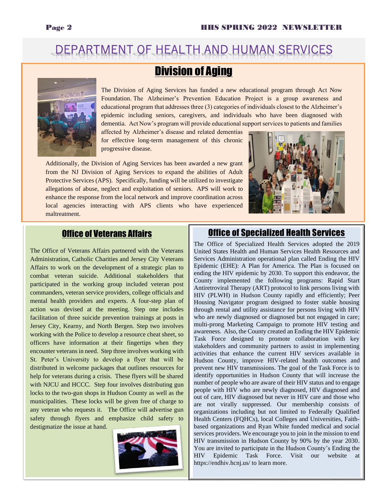## DEPARTMENT OF HEALTH AND HUMAN SERVICES

#### **Division of Aging**



The Division of Aging Services has funded a new educational program through Act Now Foundation. The Alzheimer's Prevention Education Project is a group awareness and educational program that addresses three (3) categories of individuals closest to the Alzheimer's epidemic including seniors, caregivers, and individuals who have been diagnosed with dementia. Act Now's program will provide educational support services to patients and families

affected by Alzheimer's disease and related dementias for effective long-term management of this chronic progressive disease.

Additionally, the Division of Aging Services has been awarded a new grant from the NJ Division of Aging Services to expand the abilities of Adult Protective Services (APS). Specifically, funding will be utilized to investigate allegations of abuse, neglect and exploitation of seniors. APS will work to enhance the response from the local network and improve coordination across local agencies interacting with APS clients who have experienced maltreatment.



#### Office of Veterans Affairs

The Office of Veterans Affairs partnered with the Veterans Administration, Catholic Charities and Jersey City Veterans Affairs to work on the development of a strategic plan to combat veteran suicide. Additional stakeholders that participated in the working group included veteran post commanders, veteran service providers, college officials and mental health providers and experts. A four-step plan of action was devised at the meeting. Step one includes facilitation of three suicide prevention trainings at posts in Jersey City, Kearny, and North Bergen. Step two involves working with the Police to develop a resource cheat sheet, so officers have information at their fingertips when they encounter veterans in need. Step three involves working with St. Peter's University to develop a flyer that will be distributed in welcome packages that outlines resources for help for veterans during a crisis. These flyers will be shared with NJCU and HCCC. Step four involves distributing gun locks to the two-gun shops in Hudson County as well as the municipalities. These locks will be given free of charge to any veteran who requests it. The Office will advertise gun safety through flyers and emphasize child safety to destigmatize the issue at hand.

#### Office of Specialized Health Services

The Office of Specialized Health Services adopted the 2019 United States Health and Human Services Health Resources and Services Administration operational plan called Ending the HIV Epidemic (EHE): A Plan for America. The Plan is focused on ending the HIV epidemic by 2030. To support this endeavor, the County implemented the following programs: Rapid Start Antiretroviral Therapy (ART) protocol to link persons living with HIV (PLWH) in Hudson County rapidly and efficiently; Peer Housing Navigator program designed to foster stable housing through rental and utility assistance for persons living with HIV who are newly diagnosed or diagnosed but not engaged in care; multi-prong Marketing Campaign to promote HIV testing and awareness. Also, the County created an Ending the HIV Epidemic Task Force designed to promote collaboration with key stakeholders and community partners to assist in implementing activities that enhance the current HIV services available in Hudson County, improve HIV-related health outcomes and prevent new HIV transmissions. The goal of the Task Force is to identify opportunities in Hudson County that will increase the number of people who are aware of their HIV status and to engage people with HIV who are newly diagnosed, HIV diagnosed and out of care, HIV diagnosed but never in HIV care and those who are not virally suppressed. Our membership consists of organizations including but not limited to Federally Qualified Health Centers (FQHCs), local Colleges and Universities, Faithbased organizations and Ryan White funded medical and social services providers. We encourage you to join in the mission to end HIV transmission in Hudson County by 90% by the year 2030. You are invited to participate in the Hudson County's Ending the HIV Epidemic Task Force. Visit our website at https://endhiv.hcnj.us/ to learn more.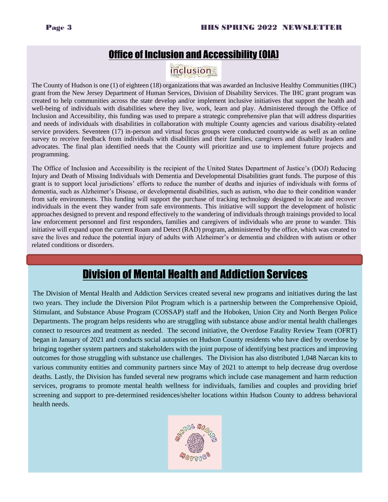#### Office of Inclusion and Accessibility (OIA)

#### **inclusion**

The County of Hudson is one (1) of eighteen (18) organizations that was awarded an Inclusive Healthy Communities (IHC) grant from the New Jersey Department of Human Services, Division of Disability Services. The IHC grant program was created to help communities across the state develop and/or implement inclusive initiatives that support the health and well-being of individuals with disabilities where they live, work, learn and play. Administered through the Office of Inclusion and Accessibility, this funding was used to prepare a strategic comprehensive plan that will address disparities and needs of individuals with disabilities in collaboration with multiple County agencies and various disability-related service providers. Seventeen (17) in-person and virtual focus groups were conducted countywide as well as an online survey to receive feedback from individuals with disabilities and their families, caregivers and disability leaders and advocates. The final plan identified needs that the County will prioritize and use to implement future projects and programming.

The Office of Inclusion and Accessibility is the recipient of the United States Department of Justice's (DOJ) Reducing Injury and Death of Missing Individuals with Dementia and Developmental Disabilities grant funds. The purpose of this grant is to support local jurisdictions' efforts to reduce the number of deaths and injuries of individuals with forms of dementia, such as Alzheimer's Disease, or developmental disabilities, such as autism, who due to their condition wander from safe environments. This funding will support the purchase of tracking technology designed to locate and recover individuals in the event they wander from safe environments. This initiative will support the development of holistic approaches designed to prevent and respond effectively to the wandering of individuals through trainings provided to local law enforcement personnel and first responders, families and caregivers of individuals who are prone to wander. This initiative will expand upon the current Roam and Detect (RAD) program, administered by the office, which was created to save the lives and reduce the potential injury of adults with Alzheimer's or dementia and children with autism or other related conditions or disorders.

### Division of Mental Health and Addiction Services

The Division of Mental Health and Addiction Services created several new programs and initiatives during the last two years. They include the Diversion Pilot Program which is a partnership between the Comprehensive Opioid, Stimulant, and Substance Abuse Program (COSSAP) staff and the Hoboken, Union City and North Bergen Police Departments. The program helps residents who are struggling with substance abuse and/or mental health challenges connect to resources and treatment as needed. The second initiative, the Overdose Fatality Review Team (OFRT) began in January of 2021 and conducts social autopsies on Hudson County residents who have died by overdose by bringing together system partners and stakeholders with the joint purpose of identifying best practices and improving outcomes for those struggling with substance use challenges. The Division has also distributed 1,048 Narcan kits to various community entities and community partners since May of 2021 to attempt to help decrease drug overdose deaths. Lastly, the Division has funded several new programs which include case management and harm reduction services, programs to promote mental health wellness for individuals, families and couples and providing brief screening and support to pre-determined residences/shelter locations within Hudson County to address behavioral health needs.

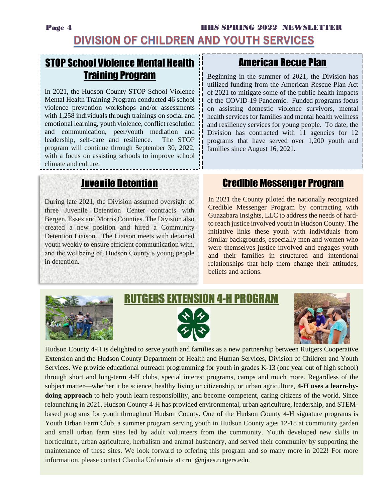#### Page 4 **HHS SPRING 2022 NEWSLETTER DIVISION OF CHILDREN AND YOUTH SERVICES**

### STOP School Violence Mental Health Training Program

In 2021, the Hudson County STOP School Violence Mental Health Training Program conducted 46 school violence prevention workshops and/or assessments with 1,258 individuals through trainings on social and emotional learning, youth violence, conflict resolution and communication, peer/youth mediation and leadership, self-care and resilience. The STOP program will continue through September 30, 2022, with a focus on assisting schools to improve school climate and culture.

#### American Recue Plan

Beginning in the summer of 2021, the Division has utilized funding from the American Rescue Plan Act of 2021 to mitigate some of the public health impacts of the COVID-19 Pandemic. Funded programs focus on assisting domestic violence survivors, mental health services for families and mental health wellness and resiliency services for young people. To date, the Division has contracted with 11 agencies for 12 programs that have served over 1,200 youth and families since August 16, 2021.

#### Juvenile Detention

During late 2021, the Division assumed oversight of three Juvenile Detention Center contracts with Bergen, Essex and Morris Counties. The Division also created a new position and hired a Community Detention Liaison. The Liaison meets with detained youth weekly to ensure efficient communication with, and the wellbeing of, Hudson County's young people in detention.

#### Credible Messenger Program

In 2021 the County piloted the nationally recognized Credible Messenger Program by contracting with Guazabara Insights, LLC to address the needs of hardto reach justice involved youth in Hudson County. The initiative links these youth with individuals from similar backgrounds, especially men and women who were themselves justice-involved and engages youth and their families in structured and intentional relationships that help them change their attitudes, beliefs and actions.



# (TENSION 4-H PROGRAM



Hudson County 4-H is delighted to serve youth and families as a new partnership between Rutgers Cooperative Extension and the Hudson County Department of Health and Human Services, Division of Children and Youth Services. We provide educational outreach programming for youth in grades K-13 (one year out of high school) through short and long-term 4-H clubs, special interest programs, camps and much more. Regardless of the subject matter—whether it be science, healthy living or citizenship, or urban agriculture, **4-H uses a learn-bydoing approach** to help youth learn responsibility, and become competent, caring citizens of the world. Since relaunching in 2021, Hudson County 4-H has provided environmental, urban agriculture, leadership, and STEMbased programs for youth throughout Hudson County. One of the Hudson County 4-H signature programs is Youth Urban Farm Club, a summer program serving youth in Hudson County ages 12-18 at community garden and small urban farm sites led by adult volunteers from the community. Youth developed new skills in horticulture, urban agriculture, herbalism and animal husbandry, and served their community by supporting the maintenance of these sites. We look forward to offering this program and so many more in 2022! For more information, please contact Claudia Urdanivia at cru1@njaes.rutgers.edu.